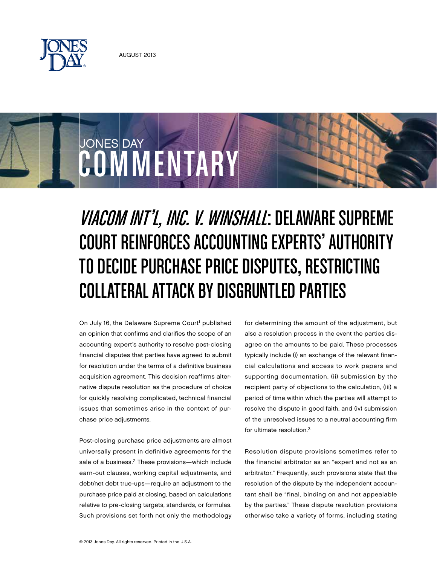



# Viacom Int'l, Inc. v. Winshall: Delaware Supreme Court Reinforces Accounting Experts' Authority to Decide Purchase Price Disputes, Restricting COLLATERAL ATTACK BY DISGRUNTLED PARTIES

On July 16, the Delaware Supreme Court<sup>1</sup> published an opinion that confirms and clarifies the scope of an accounting expert's authority to resolve post-closing financial disputes that parties have agreed to submit for resolution under the terms of a definitive business acquisition agreement. This decision reaffirms alternative dispute resolution as the procedure of choice for quickly resolving complicated, technical financial issues that sometimes arise in the context of purchase price adjustments.

Post-closing purchase price adjustments are almost universally present in definitive agreements for the sale of a business.<sup>2</sup> These provisions—which include earn-out clauses, working capital adjustments, and debt/net debt true-ups—require an adjustment to the purchase price paid at closing, based on calculations relative to pre-closing targets, standards, or formulas. Such provisions set forth not only the methodology for determining the amount of the adjustment, but also a resolution process in the event the parties disagree on the amounts to be paid. These processes typically include (i) an exchange of the relevant financial calculations and access to work papers and supporting documentation, (ii) submission by the recipient party of objections to the calculation, (iii) a period of time within which the parties will attempt to resolve the dispute in good faith, and (iv) submission of the unresolved issues to a neutral accounting firm for ultimate resolution.3

Resolution dispute provisions sometimes refer to the financial arbitrator as an "expert and not as an arbitrator." Frequently, such provisions state that the resolution of the dispute by the independent accountant shall be "final, binding on and not appealable by the parties." These dispute resolution provisions otherwise take a variety of forms, including stating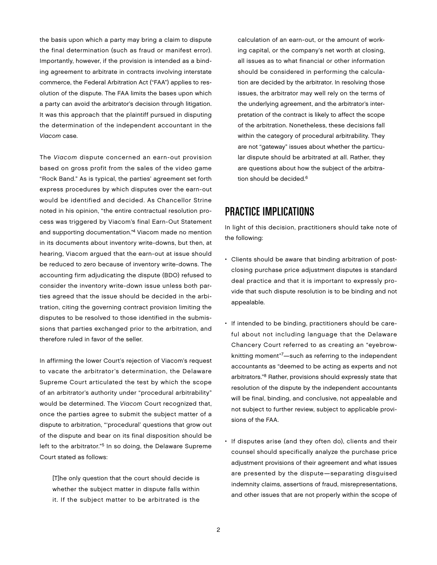the basis upon which a party may bring a claim to dispute the final determination (such as fraud or manifest error). Importantly, however, if the provision is intended as a binding agreement to arbitrate in contracts involving interstate commerce, the Federal Arbitration Act ("FAA") applies to resolution of the dispute. The FAA limits the bases upon which a party can avoid the arbitrator's decision through litigation. It was this approach that the plaintiff pursued in disputing the determination of the independent accountant in the Viacom case.

The Viacom dispute concerned an earn-out provision based on gross profit from the sales of the video game "Rock Band." As is typical, the parties' agreement set forth express procedures by which disputes over the earn-out would be identified and decided. As Chancellor Strine noted in his opinion, "the entire contractual resolution process was triggered by Viacom's final Earn-Out Statement and supporting documentation."4 Viacom made no mention in its documents about inventory write-downs, but then, at hearing, Viacom argued that the earn-out at issue should be reduced to zero because of inventory write-downs. The accounting firm adjudicating the dispute (BDO) refused to consider the inventory write-down issue unless both parties agreed that the issue should be decided in the arbitration, citing the governing contract provision limiting the disputes to be resolved to those identified in the submissions that parties exchanged prior to the arbitration, and therefore ruled in favor of the seller.

In affirming the lower Court's rejection of Viacom's request to vacate the arbitrator's determination, the Delaware Supreme Court articulated the test by which the scope of an arbitrator's authority under "procedural arbitrability" would be determined. The Viacom Court recognized that, once the parties agree to submit the subject matter of a dispute to arbitration, "'procedural' questions that grow out of the dispute and bear on its final disposition should be left to the arbitrator."<sup>5</sup> In so doing, the Delaware Supreme Court stated as follows:

[T]he only question that the court should decide is whether the subject matter in dispute falls within it. If the subject matter to be arbitrated is the

calculation of an earn-out, or the amount of working capital, or the company's net worth at closing, all issues as to what financial or other information should be considered in performing the calculation are decided by the arbitrator. In resolving those issues, the arbitrator may well rely on the terms of the underlying agreement, and the arbitrator's interpretation of the contract is likely to affect the scope of the arbitration. Nonetheless, these decisions fall within the category of procedural arbitrability. They are not "gateway" issues about whether the particular dispute should be arbitrated at all. Rather, they are questions about how the subject of the arbitration should be decided.<sup>6</sup>

## Practice Implications

In light of this decision, practitioners should take note of the following:

- Clients should be aware that binding arbitration of postclosing purchase price adjustment disputes is standard deal practice and that it is important to expressly provide that such dispute resolution is to be binding and not appealable.
- If intended to be binding, practitioners should be careful about not including language that the Delaware Chancery Court referred to as creating an "eyebrowknitting moment"7—such as referring to the independent accountants as "deemed to be acting as experts and not arbitrators."8 Rather, provisions should expressly state that resolution of the dispute by the independent accountants will be final, binding, and conclusive, not appealable and not subject to further review, subject to applicable provisions of the FAA.
- If disputes arise (and they often do), clients and their counsel should specifically analyze the purchase price adjustment provisions of their agreement and what issues are presented by the dispute—separating disguised indemnity claims, assertions of fraud, misrepresentations, and other issues that are not properly within the scope of